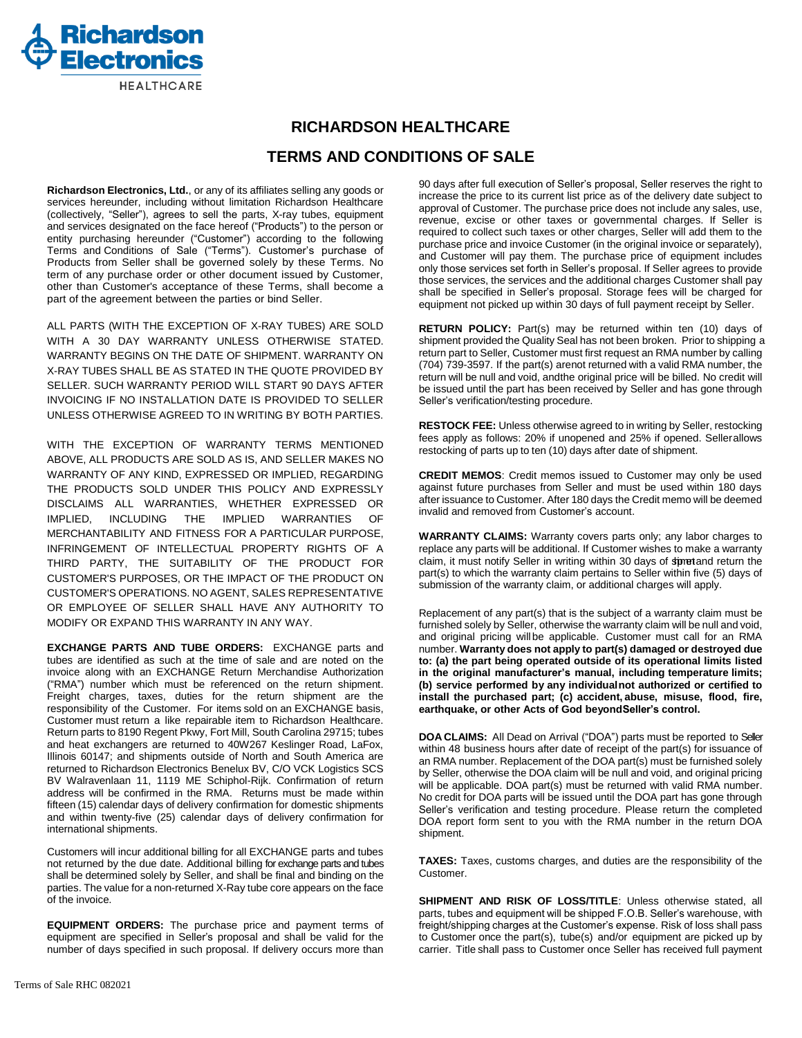

## **RICHARDSON HEALTHCARE**

## **TERMS AND CONDITIONS OF SALE**

**Richardson Electronics, Ltd.**, or any of its affiliates selling any goods or services hereunder, including without limitation Richardson Healthcare (collectively, "Seller"), agrees to sell the parts, X-ray tubes, equipment and services designated on the face hereof ("Products") to the person or entity purchasing hereunder ("Customer") according to the following Terms and Conditions of Sale ("Terms"). Customer's purchase of Products from Seller shall be governed solely by these Terms. No term of any purchase order or other document issued by Customer, other than Customer's acceptance of these Terms, shall become a part of the agreement between the parties or bind Seller.

ALL PARTS (WITH THE EXCEPTION OF X-RAY TUBES) ARE SOLD WITH A 30 DAY WARRANTY UNLESS OTHERWISE STATED. WARRANTY BEGINS ON THE DATE OF SHIPMENT. WARRANTY ON X-RAY TUBES SHALL BE AS STATED IN THE QUOTE PROVIDED BY SELLER. SUCH WARRANTY PERIOD WILL START 90 DAYS AFTER INVOICING IF NO INSTALLATION DATE IS PROVIDED TO SELLER UNLESS OTHERWISE AGREED TO IN WRITING BY BOTH PARTIES.

WITH THE EXCEPTION OF WARRANTY TERMS MENTIONED ABOVE, ALL PRODUCTS ARE SOLD AS IS, AND SELLER MAKES NO WARRANTY OF ANY KIND, EXPRESSED OR IMPLIED, REGARDING THE PRODUCTS SOLD UNDER THIS POLICY AND EXPRESSLY DISCLAIMS ALL WARRANTIES, WHETHER EXPRESSED OR IMPLIED, INCLUDING THE IMPLIED WARRANTIES OF MERCHANTABILITY AND FITNESS FOR A PARTICULAR PURPOSE, INFRINGEMENT OF INTELLECTUAL PROPERTY RIGHTS OF A THIRD PARTY, THE SUITABILITY OF THE PRODUCT FOR CUSTOMER'S PURPOSES, OR THE IMPACT OF THE PRODUCT ON CUSTOMER'S OPERATIONS. NO AGENT, SALES REPRESENTATIVE OR EMPLOYEE OF SELLER SHALL HAVE ANY AUTHORITY TO MODIFY OR EXPAND THIS WARRANTY IN ANY WAY.

**EXCHANGE PARTS AND TUBE ORDERS:** EXCHANGE parts and tubes are identified as such at the time of sale and are noted on the invoice along with an EXCHANGE Return Merchandise Authorization ("RMA") number which must be referenced on the return shipment. Freight charges, taxes, duties for the return shipment are the responsibility of the Customer. For items sold on an EXCHANGE basis, Customer must return a like repairable item to Richardson Healthcare. Return parts to 8190 Regent Pkwy, Fort Mill, South Carolina 29715; tubes and heat exchangers are returned to 40W267 Keslinger Road, LaFox, Illinois 60147; and shipments outside of North and South America are returned to Richardson Electronics Benelux BV, C/O VCK Logistics SCS BV Walravenlaan 11, 1119 ME Schiphol-Rijk. Confirmation of return address will be confirmed in the RMA. Returns must be made within fifteen (15) calendar days of delivery confirmation for domestic shipments and within twenty-five (25) calendar days of delivery confirmation for international shipments.

Customers will incur additional billing for all EXCHANGE parts and tubes not returned by the due date. Additional billing for exchange parts and tubes shall be determined solely by Seller, and shall be final and binding on the parties. The value for a non-returned X-Ray tube core appears on the face of the invoice.

**EQUIPMENT ORDERS:** The purchase price and payment terms of equipment are specified in Seller's proposal and shall be valid for the number of days specified in such proposal. If delivery occurs more than

90 days after full execution of Seller's proposal, Seller reserves the right to increase the price to its current list price as of the delivery date subject to approval of Customer. The purchase price does not include any sales, use, revenue, excise or other taxes or governmental charges. If Seller is required to collect such taxes or other charges, Seller will add them to the purchase price and invoice Customer (in the original invoice or separately), and Customer will pay them. The purchase price of equipment includes only those services set forth in Seller's proposal. If Seller agrees to provide those services, the services and the additional charges Customer shall pay shall be specified in Seller's proposal. Storage fees will be charged for equipment not picked up within 30 days of full payment receipt by Seller.

**RETURN POLICY:** Part(s) may be returned within ten (10) days of shipment provided the Quality Seal has not been broken. Prior to shipping a return part to Seller, Customer must first request an RMA number by calling (704) 739-3597. If the part(s) arenot returned with a valid RMA number, the return will be null and void, andthe original price will be billed. No credit will be issued until the part has been received by Seller and has gone through Seller's verification/testing procedure.

**RESTOCK FEE:** Unless otherwise agreed to in writing by Seller, restocking fees apply as follows: 20% if unopened and 25% if opened. Seller allows restocking of parts up to ten (10) days after date of shipment.

**CREDIT MEMOS**: Credit memos issued to Customer may only be used against future purchases from Seller and must be used within 180 days after issuance to Customer. After 180 days the Credit memo will be deemed invalid and removed from Customer's account.

**WARRANTY CLAIMS:** Warranty covers parts only; any labor charges to replace any parts will be additional. If Customer wishes to make a warranty claim, it must notify Seller in writing within 30 days of structure the claim, it must notify part(s) to which the warranty claim pertains to Seller within five (5) days of submission of the warranty claim, or additional charges will apply.

Replacement of any part(s) that is the subject of a warranty claim must be furnished solely by Seller, otherwise the warranty claim will be null and void, and original pricing willbe applicable. Customer must call for an RMA number. **Warranty does not apply to part(s) damaged or destroyed due to: (a) the part being operated outside of its operational limits listed in the original manufacturer's manual, including temperature limits; (b) service performed by any individualnot authorized or certified to install the purchased part; (c) accident, abuse, misuse, flood, fire, earthquake, or other Acts of God beyondSeller's control.**

**DOA CLAIMS:** All Dead on Arrival ("DOA") parts must be reported to Seller within 48 business hours after date of receipt of the part(s) for issuance of an RMA number. Replacement of the DOA part(s) must be furnished solely by Seller, otherwise the DOA claim will be null and void, and original pricing will be applicable. DOA part(s) must be returned with valid RMA number. No credit for DOA parts will be issued until the DOA part has gone through Seller's verification and testing procedure. Please return the completed DOA report form sent to you with the RMA number in the return DOA shipment.

**TAXES:** Taxes, customs charges, and duties are the responsibility of the Customer.

**SHIPMENT AND RISK OF LOSS/TITLE**: Unless otherwise stated, all parts, tubes and equipment will be shipped F.O.B. Seller's warehouse, with freight/shipping charges at the Customer's expense. Risk of loss shall pass to Customer once the part(s), tube(s) and/or equipment are picked up by carrier. Title shall pass to Customer once Seller has received full payment